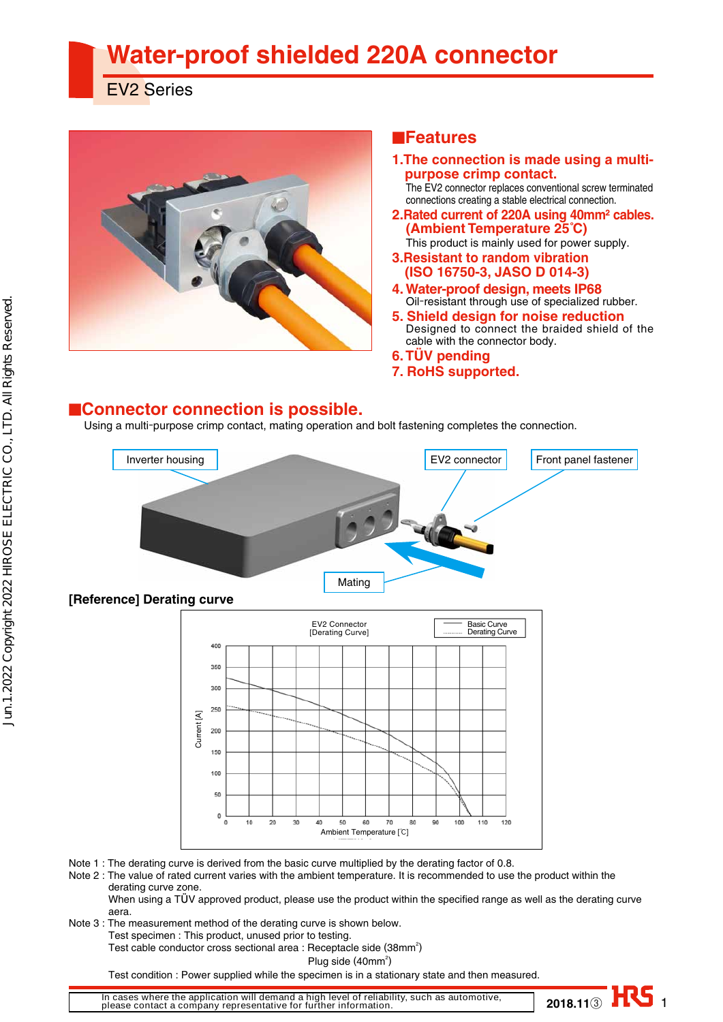# **Water-proof shielded 220A connector**

EV2 Series



### ■**Features**

- **1.The connection is made using a multipurpose crimp contact.** 
	- The EV2 connector replaces conventional screw terminated connections creating a stable electrical connection.
- **2.Rated current of 220A using 40mm² cables. (Ambient Temperature 25˚C)** This product is mainly used for power supply.
- **3.Resistant to random vibration (ISO 16750-3, JASO D 014-3)**
- **4. Water-proof design, meets IP68** Oil-resistant through use of specialized rubber.
- **5. Shield design for noise reduction** Designed to connect the braided shield of the cable with the connector body.

**2018.113** HS 1

- **6. TÜV pending**
- **7. RoHS supported.**

#### ■**Connector connection is possible.**

Using a multi-purpose crimp contact, mating operation and bolt fastening completes the connection.





Note 1 : The derating curve is derived from the basic curve multiplied by the derating factor of 0.8.

Note 2 : The value of rated current varies with the ambient temperature. It is recommended to use the product within the derating curve zone.

When using a TUV approved product, please use the product within the specified range as well as the derating curve aera.

- Note 3 : The measurement method of the derating curve is shown below.
	- Test specimen : This product, unused prior to testing.

Test cable conductor cross sectional area : Receptacle side (38mm<sup>2</sup>)

 $\mathsf{Plug} \ \mathsf{side} \ (\mathsf{40mm^2})$ 

Test condition : Power supplied while the specimen is in a stationary state and then measured.

**In cases where the application will demand a high level of reliability, such as automotive, please contact a company representative for further information.**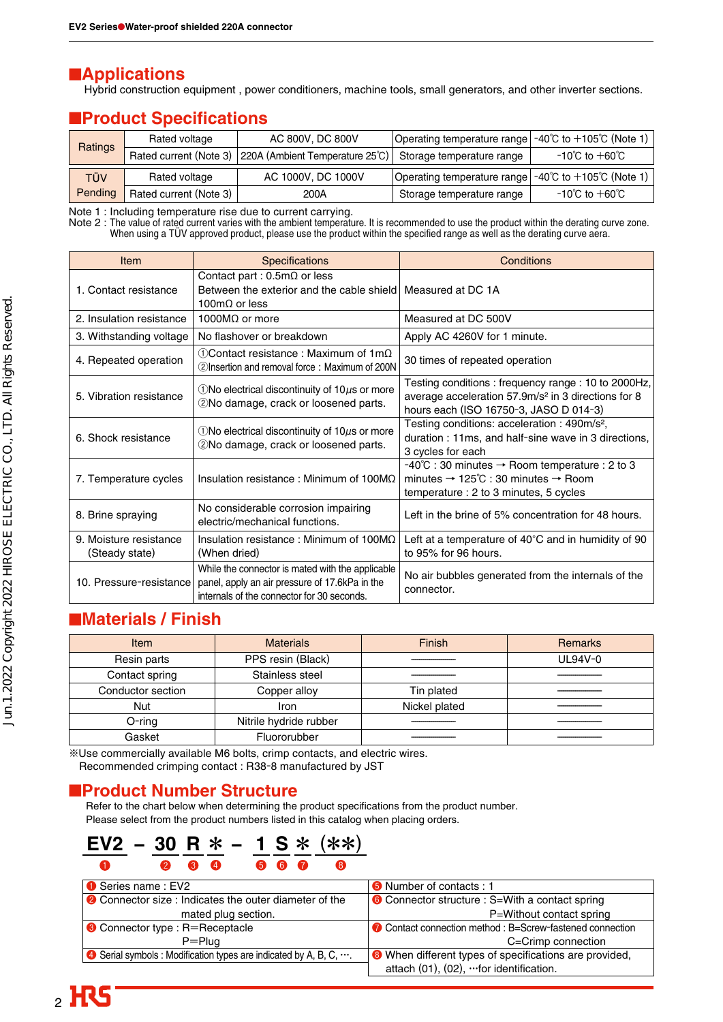### ■**Applications**

Hybrid construction equipment , power conditioners, machine tools, small generators, and other inverter sections.

## **EProduct Specifications**

| <b>Ratings</b> | Rated voltage          | AC 800V, DC 800V                                       | Operating temperature range $-40^{\circ}$ C to $+105^{\circ}$ C (Note 1) |                                    |
|----------------|------------------------|--------------------------------------------------------|--------------------------------------------------------------------------|------------------------------------|
|                |                        | Rated current (Note 3) 220A (Ambient Temperature 25°C) | Storage temperature range                                                | −10℃ to $+$ 60℃                    |
| TÜV            | Rated voltage          | AC 1000V, DC 1000V                                     | Operating temperature range $-40^{\circ}$ C to $+105^{\circ}$ C (Note 1) |                                    |
| Pending        | Rated current (Note 3) | 200A                                                   | Storage temperature range                                                | $-10^{\circ}$ C to $+60^{\circ}$ C |

Note 1 : Including temperature rise due to current carrying.

Note 2 : The value of rated current varies with the ambient temperature. It is recommended to use the product within the derating curve zone. When using a TÜV approved product, please use the product within the specified range as well as the derating curve aera.

| Item                                     | <b>Specifications</b>                                                                                                                            | Conditions                                                                                                                                                      |  |
|------------------------------------------|--------------------------------------------------------------------------------------------------------------------------------------------------|-----------------------------------------------------------------------------------------------------------------------------------------------------------------|--|
| 1. Contact resistance                    | Contact part : $0.5 \text{m}\Omega$ or less<br>Between the exterior and the cable shield Measured at DC 1A<br>100 $m\Omega$ or less              |                                                                                                                                                                 |  |
| 2. Insulation resistance                 | 1000 $M\Omega$ or more                                                                                                                           | Measured at DC 500V                                                                                                                                             |  |
| 3. Withstanding voltage                  | No flashover or breakdown                                                                                                                        | Apply AC 4260V for 1 minute.                                                                                                                                    |  |
| 4. Repeated operation                    | $\bigcirc$ Contact resistance : Maximum of 1m $\Omega$<br>2 Insertion and removal force: Maximum of 200N                                         | 30 times of repeated operation                                                                                                                                  |  |
| 5. Vibration resistance                  | $\bigcirc$ No electrical discontinuity of 10 $\mu$ s or more<br>2No damage, crack or loosened parts.                                             | Testing conditions: frequency range: 10 to 2000Hz,<br>average acceleration 57.9m/s <sup>2</sup> in 3 directions for 8<br>hours each (ISO 16750-3, JASO D 014-3) |  |
| 6. Shock resistance                      | $\bigcirc$ No electrical discontinuity of 10 $\mu$ s or more<br>2No damage, crack or loosened parts.                                             | Testing conditions: acceleration : 490m/s <sup>2</sup> ,<br>duration: 11ms, and half-sine wave in 3 directions,<br>3 cycles for each                            |  |
| 7. Temperature cycles                    | Insulation resistance: Minimum of $100M\Omega$                                                                                                   | -40℃ : 30 minutes → Room temperature : 2 to 3<br>minutes $\rightarrow$ 125°C : 30 minutes $\rightarrow$ Room<br>temperature : 2 to 3 minutes, 5 cycles          |  |
| 8. Brine spraying                        | No considerable corrosion impairing<br>electric/mechanical functions.                                                                            | Left in the brine of 5% concentration for 48 hours.                                                                                                             |  |
| 9. Moisture resistance<br>(Steady state) | Insulation resistance: Minimum of 100M $\Omega$<br>(When dried)                                                                                  | Left at a temperature of $40^{\circ}$ C and in humidity of 90<br>to 95% for 96 hours.                                                                           |  |
| 10. Pressure-resistance                  | While the connector is mated with the applicable<br>panel, apply an air pressure of 17.6kPa in the<br>internals of the connector for 30 seconds. | No air bubbles generated from the internals of the<br>connector.                                                                                                |  |

# ■**Materials / Finish**

| <b>Item</b>       | <b>Materials</b>       | Finish        | <b>Remarks</b> |
|-------------------|------------------------|---------------|----------------|
| Resin parts       | PPS resin (Black)      |               | UL94V-0        |
| Contact spring    | Stainless steel        |               |                |
| Conductor section | Copper alloy           | Tin plated    |                |
| Nut               | Iron                   | Nickel plated |                |
| $O$ -ring         | Nitrile hydride rubber |               |                |
| Gasket            | Fluororubber           |               |                |

※Use commercially available M6 bolts, crimp contacts, and electric wires.

Recommended crimping contact : R38-8 manufactured by JST

#### ■**Product Number Structure**

Refer to the chart below when determining the product specifications from the product number. Please select from the product numbers listed in this catalog when placing orders.

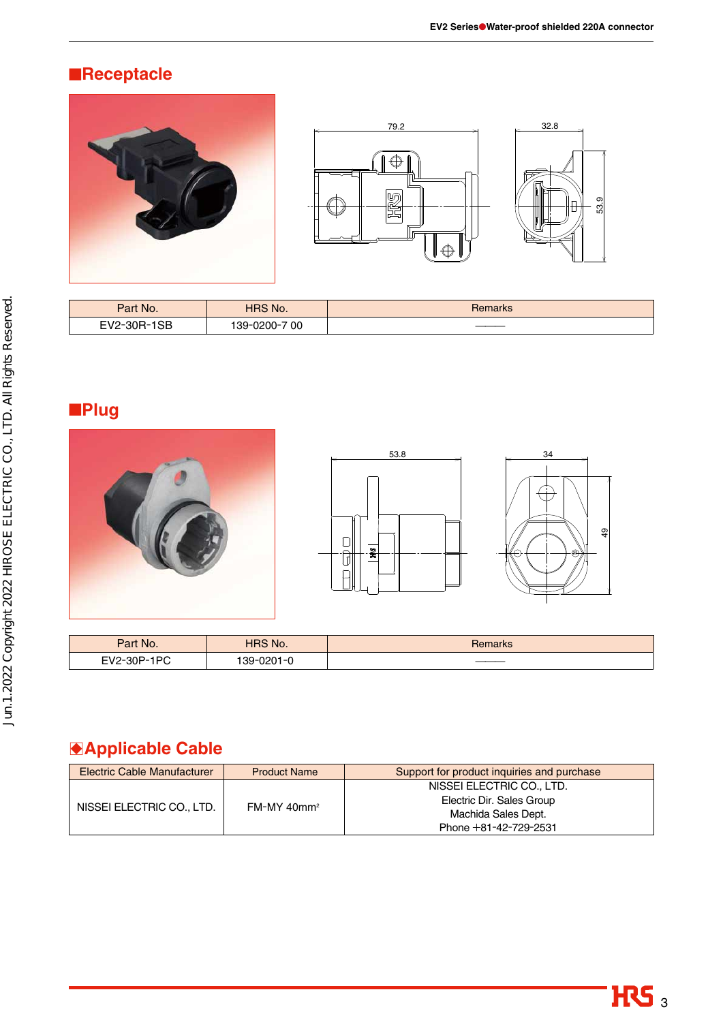# ■**Receptacle**





| Part No.                 | <b>HRS No.</b> | Remarks |
|--------------------------|----------------|---------|
| $\cap$<br>EV2-30R-<br>OБ | 139-0200-700   | ____    |

# ■**Plug**







| Part No.    | <b>HRS No.</b>                         | Remarks |
|-------------|----------------------------------------|---------|
| EV2-30P-1PC | 139-0201-0<br>$\overline{\phantom{a}}$ | ____    |

# B**Applicable Cable**

| <b>Electric Cable Manufacturer</b> | <b>Product Name</b>       | Support for product inquiries and purchase |  |
|------------------------------------|---------------------------|--------------------------------------------|--|
|                                    | $FM-MY$ 40mm <sup>2</sup> | NISSEI ELECTRIC CO., LTD.                  |  |
|                                    |                           | Electric Dir. Sales Group                  |  |
| NISSEI ELECTRIC CO., LTD.          |                           | Machida Sales Dept.                        |  |
|                                    |                           | Phone $+81-42-729-2531$                    |  |